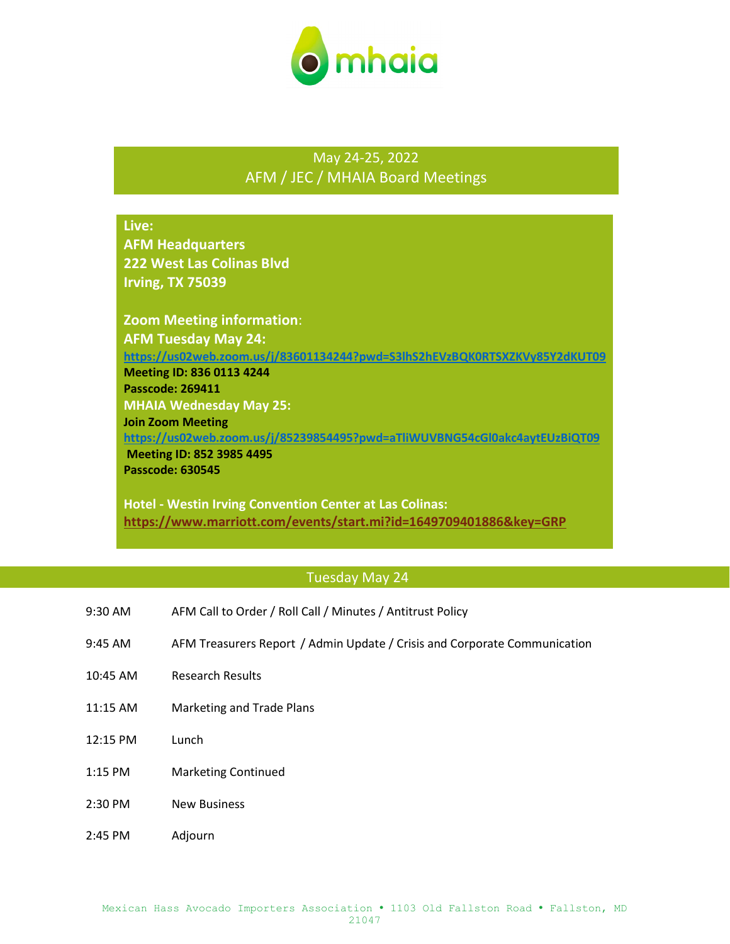

## May 24-25, 2022 AFM / JEC / MHAIA Board Meetings

# **Live: AFM Headquarters 222 West Las Colinas Blvd Irving, TX 75039 Zoom Meeting information**: **AFM Tuesday May 24: <https://us02web.zoom.us/j/83601134244?pwd=S3lhS2hEVzBQK0RTSXZKVy85Y2dKUT09> Meeting ID: 836 0113 4244 Passcode: 269411 MHAIA Wednesday May 25: Join Zoom Meeting <https://us02web.zoom.us/j/85239854495?pwd=aTliWUVBNG54cGl0akc4aytEUzBiQT09> Meeting ID: 852 3985 4495 Passcode: 630545**

**Hotel - Westin Irving Convention Center at Las Colinas: <https://www.marriott.com/events/start.mi?id=1649709401886&key=GRP>**

#### Tuesday May 24

- 9:30 AM AFM Call to Order / Roll Call / Minutes / Antitrust Policy
- 9:45 AM AFM Treasurers Report / Admin Update / Crisis and Corporate Communication
- 10:45 AM Research Results
- 11:15 AM Marketing and Trade Plans
- 12:15 PM Lunch
- 1:15 PM Marketing Continued
- 2:30 PM New Business
- 2:45 PM Adjourn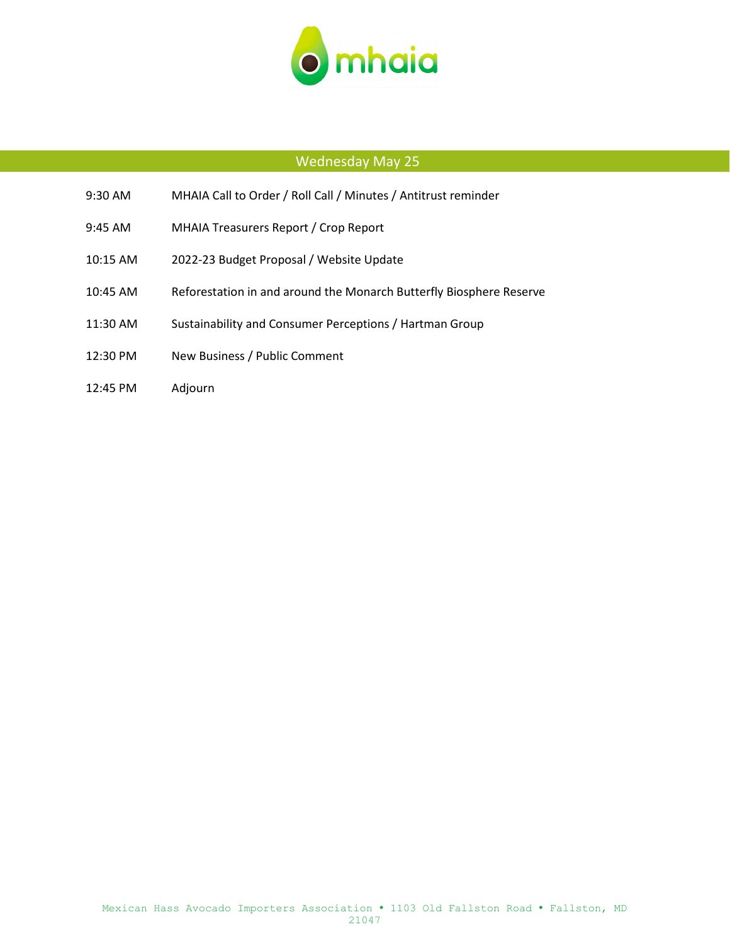

### Wednesday May 25

- 9:30 AM MHAIA Call to Order / Roll Call / Minutes / Antitrust reminder
- 9:45 AM MHAIA Treasurers Report / Crop Report
- 10:15 AM 2022-23 Budget Proposal / Website Update
- 10:45 AM Reforestation in and around the Monarch Butterfly Biosphere Reserve
- 11:30 AM Sustainability and Consumer Perceptions / Hartman Group
- 12:30 PM New Business / Public Comment
- 12:45 PM Adjourn